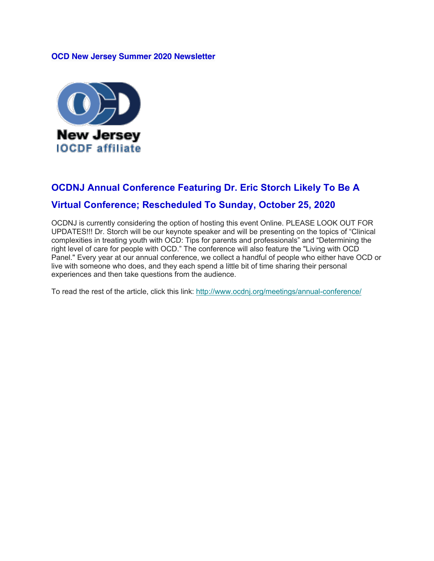#### **OCD New Jersey Summer 2020 Newsletter**



# **OCDNJ Annual Conference Featuring Dr. Eric Storch Likely To Be A**

### **Virtual Conference; Rescheduled To Sunday, October 25, 2020**

OCDNJ is currently considering the option of hosting this event Online. PLEASE LOOK OUT FOR UPDATES!!! Dr. Storch will be our keynote speaker and will be presenting on the topics of "Clinical complexities in treating youth with OCD: Tips for parents and professionals" and "Determining the right level of care for people with OCD." The conference will also feature the "Living with OCD Panel." Every year at our annual conference, we collect a handful of people who either have OCD or live with someone who does, and they each spend a little bit of time sharing their personal experiences and then take questions from the audience.

To read the rest of the article, click this link: http://www.ocdnj.org/meetings/annual-conference/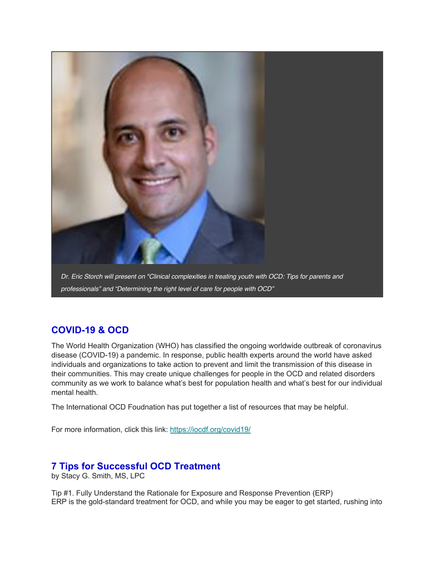

## **COVID-19 & OCD**

The World Health Organization (WHO) has classified the ongoing worldwide outbreak of coronavirus disease (COVID-19) a pandemic. In response, public health experts around the world have asked individuals and organizations to take action to prevent and limit the transmission of this disease in their communities. This may create unique challenges for people in the OCD and related disorders community as we work to balance what's best for population health and what's best for our individual mental health.

The International OCD Foudnation has put together a list of resources that may be helpful.

For more information, click this link: https://iocdf.org/covid19/

#### **7 Tips for Successful OCD Treatment**

by Stacy G. Smith, MS, LPC

Tip #1. Fully Understand the Rationale for Exposure and Response Prevention (ERP) ERP is the gold-standard treatment for OCD, and while you may be eager to get started, rushing into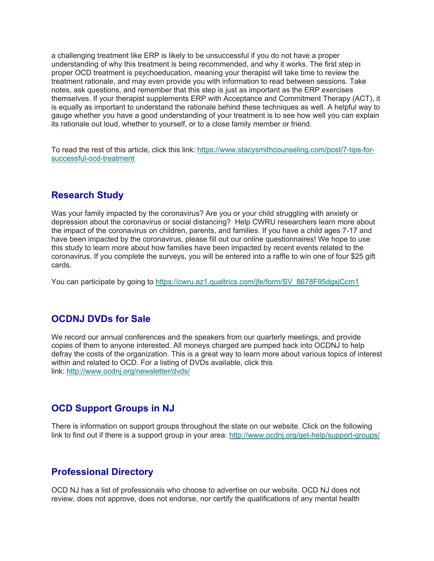a challenging treatment like ERP is likely to be unsuccessful if you do not have a proper understanding of why this treatment is being recommended, and why it works. The first step in proper OCD treatment is psychoeducation, meaning your therapist will take time to review the treatment rationale, and may even provide you with information to read between sessions. Take notes, ask questions, and remember that this step is just as important as the ERP exercises themselves. If your therapist supplements ERP with Acceptance and Commitment Therapy (ACT), it is equally as important to understand the rationale behind these techniques as well. A helpful way to gauge whether you have a good understanding of your treatment is to see how well you can explain its rationale out loud, whether to yourself, or to a close family member or friend.

To read the rest of this article, click this link: https://www.stacysmithcounseling.com/post/7-tips-forsuccessful-ocd-treatment

#### **Research Study**

Was your family impacted by the coronavirus? Are you or your child struggling with anxiety or depression about the coronavirus or social distancing? Help CWRU researchers learn more about the impact of the coronavirus on children, parents, and families. If you have a child ages 7-17 and have been impacted by the coronavirus, please fill out our online questionnaires! We hope to use this study to learn more about how families have been impacted by recent events related to the coronavirus. If you complete the surveys, you will be entered into a raffle to win one of four \$25 gift cards.

You can participate by going to https://cwru.az1.qualtrics.com/jfe/form/SV\_8678F95dgxjCcm1

#### **OCDNJ DVDs for Sale**

We record our annual conferences and the speakers from our quarterly meetings, and provide copies of them to anyone interested. All moneys charged are pumped back into OCDNJ to help defray the costs of the organization. This is a great way to learn more about various topics of interest within and related to OCD. For a listing of DVDs available, click this link: http://www.ocdnj.org/newsletter/dvds/

#### **OCD Support Groups in NJ**

There is information on support groups throughout the state on our website. Click on the following link to find out if there is a support group in your area: http://www.ocdnj.org/get-help/support-groups/

#### **Professional Directory**

OCD NJ has a list of professionals who choose to advertise on our website. OCD NJ does not review, does not approve, does not endorse, nor certify the qualifications of any mental health